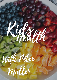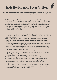## Kids Health with Peter Mullen

A conversartion wih Kris & Peter on all things kids wellbeing and how you can better protect your babies health physically and emotionally

K: Peter, being that time of year where everyone seems to be battling a runny nose, or itchy cough. I wanted to come on with you tonight and chat about how we can support ourselves and our kids health. We know we to expose ourselves to the natural vitamins to support our wellbeing. Like spending sufficient time in the sun. Do you feel supplements are a necessity too? Or can we get enough support simply by exposing ourselves to certain lifestyle choices that will provide the natural vitamins.

P: As Naturopaths we believe in the body's ability to heal itself and keep us well, a healthy diet with as high a plant based diet as possible I believe is the ideal diet for us and our children.

Good quality, organic if possible, vegies, fruit and salad, with healthy whole grains, good quality meat fish and chicken, and healthy fats like olive oil and avocado.

- Unfortunately, our food supply isn't always as fresh, eg coles and woolworths, 1. you could be eating 4 week old fruit or vegetables.
- Our mineral levels in our soils can be low as we are an old country, so low in 2. zinc, magnesium, iodine, which we need to look at additional supplementation to support our children and ourselves.
- and more and more a problem our children seem to be becoming more and more 3. fussy when it comes to foods that they will eat. More and more children are being diagnosed with anxiety and sensory issues

I believe that our children's health isn't what it use to be…

Preschool children get at least six colds per year. It is common for healthy children to have up to 12 viral illnesses per year in the first few years of life. It is also common for children to get sick from one virus shortly after getting better from a different one, so it can seem they are sick all the time. As children get older, the frequency of catching viral illnesses usually reduces.

So I believe in Foundation nutrition and elements for our children and us adults will better support our families. I would suggest a kids multivitamin, in a tonic form would be great, a probiotic and a fish oil.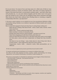K: As you know, I'm mum of two and step mum of 2. Both sets of kids at very different seasons in terms of nutrient needs, what they are being exposed in terms of the junk food that's so prevalent socially today… and then what they will actually eat… Ie, one eats salmon happily and the other won't even put it near her mouth to try it. How can we integrate those micro nutrients and high fibre foods into their diets without force feeding them or creating a negative relationship with food.. any tips here?

P: We have a great webinar on our website by one of our practitioners Belinda on Kids and healthy eating. Belinda is our children's specialist at Mullen health and a wealth of knowledge

How to keep kids engaged in food and what they're eating (help cooking etc)

- $\circ$  Help with the cooking; Talk about foods colour, smell, taste, texture, where they come from
- Make it fun colours, patterns/make faces,
- Make healthier versions of unhealthy foods,
- Family meal times and set a good example you have to eat it too
- Take them shopping and talk about foods, point them out
- Find out what their favourites are or ask them what they want to eat tonight
- $\circ$  Let them plan a menu and then compromise on things that they shouldn't have
- $\circ$  Get them to try new things taste, think about it, then if they don't like it, its their choice – more empowered, they have more control.
- Compromise, barter, bribe whatever works. Kids personalities are so different

K: How can natural supplements promote good behavioural health in kids?

P: Anxiety and behavioural challenges are so common in children these days.

We often see kids with symptoms of stress, anxiety, trouble concentrating, low energy, hyperactive, over sensitive emotionally, overwhelm, trouble sleeping, etc.

First step as naturopaths is to Identify the underlying causes/triggers of these behaviours

- Poor gut health / Leaky gut Gut immune brain axis 1.
- 2. Poor sleep patterns
- Food intolerances 3.
- Blood sugar imbalances 4.
- Nutritional deficiencies may be contributing to their symptoms: 5.

If kids are settled on the inside, all their nutrient levels are balanced then they have a more stable place to come from.

Common deficiencies can include

- Zinc
- Magnesium
- Essential fatty acids
- $\circ$  Probiotics microbiome and links to mood, stress response, emotion and cognition (neurotransmitter and hormone production)